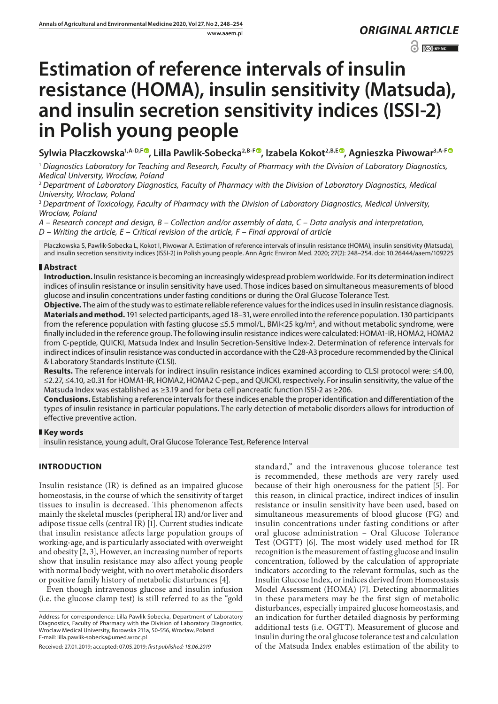www.aaem.pl *ORIGINAL [ARTICLE](http://creativecommons.org/licenses/by-nc/3.0/pl/deed.en)* 

 $\odot$   $\odot$  BY-NC

# **Estimation of reference intervals of insulin resistance (HOMA), insulin sensitivity (Matsuda), and insulin secretion sensitivity indices (ISSI-2) in Polish young people**

Sylwia Płaczkowska<sup>1[,](https://orcid.org/0000-0002-3711-8614)A-D,[F](https://orcid.org/0000-0002-9960-8205)®</sup>, Lilla Pawlik-Sobecka<sup>2,B-F®</sup>, Izabela Kokot<sup>2,B,E®</sup>, Agnieszka Piwowar<sup>3,A-F®</sup>

<sup>1</sup> *Diagnostics Laboratory for Teaching and Research, Faculty of Pharmacy with the Division of Laboratory Diagnostics, Medical University, Wroclaw, Poland*

<sup>2</sup> *Department of Laboratory Diagnostics, Faculty of Pharmacy with the Division of Laboratory Diagnostics, Medical University, Wroclaw, Poland*

<sup>3</sup> *Department of Toxicology, Faculty of Pharmacy with the Division of Laboratory Diagnostics, Medical University, Wroclaw, Poland*

*A – Research concept and design, B – Collection and/or assembly of data, C – Data analysis and interpretation, D – Writing the article, E – Critical revision of the article, F – Final approval of article*

Płaczkowska S, Pawlik-Sobecka L, Kokot I, Piwowar A. Estimation of reference intervals of insulin resistance (HOMA), insulin sensitivity (Matsuda), and insulin secretion sensitivity indices (ISSI-2) in Polish young people. Ann Agric Environ Med. 2020; 27(2): 248–254. doi: 10.26444/aaem/109225

## **Abstract**

**Introduction.** Insulin resistance is becoming an increasingly widespread problem worldwide. For its determination indirect indices of insulin resistance or insulin sensitivity have used. Those indices based on simultaneous measurements of blood glucose and insulin concentrations under fasting conditions or during the Oral Glucose Tolerance Test.

**Objective.** The aim of the study was to estimate reliable reference values for the indices used in insulin resistance diagnosis. **Materials and method.** 191 selected participants, aged 18–31, were enrolled into the reference population. 130 participants from the reference population with fasting glucose ≤5.5 mmol/L, BMI<25 kg/m<sup>2</sup>, and without metabolic syndrome, were finally included in the reference group. The following insulin resistance indices were calculated: HOMA1-IR, HOMA2, HOMA2 from C-peptide, QUICKI, Matsuda Index and Insulin Secretion-Sensitive Index-2. Determination of reference intervals for indirect indices of insulin resistance was conducted in accordance with the C28-A3 procedure recommended by the Clinical & Laboratory Standards Institute (CLSI).

**Results.** The reference intervals for indirect insulin resistance indices examined according to CLSI protocol were: ≤4.00, ≤2.27, ≤4.10, ≥0.31 for HOMA1-IR, HOMA2, HOMA2 C-pep., and QUICKI, respectively. For insulin sensitivity, the value of the Matsuda Index was established as ≥3.19 and for beta cell pancreatic function ISSI-2 as ≥206.

**Conclusions.** Establishing a reference intervals for these indices enable the proper identification and differentiation of the types of insulin resistance in particular populations. The early detection of metabolic disorders allows for introduction of effective preventive action.

## **Key words**

insulin resistance, young adult, Oral Glucose Tolerance Test, Reference Interval

# **INTRODUCTION**

Insulin resistance (IR) is defined as an impaired glucose homeostasis, in the course of which the sensitivity of target tissues to insulin is decreased. This phenomenon affects mainly the skeletal muscles (peripheral IR) and/or liver and adipose tissue cells (central IR) [1]. Current studies indicate that insulin resistance affects large population groups of working-age, and is particularly associated with overweight and obesity [2, 3], However, an increasing number of reports show that insulin resistance may also affect young people with normal body weight, with no overt metabolic disorders or positive family history of metabolic disturbances [4].

Even though intravenous glucose and insulin infusion (i.e. the glucose clamp test) is still referred to as the "gold

Address for correspondence: Lilla Pawlik-Sobecka, Department of Laboratory Diagnostics, Faculty of Pharmacy with the Division of Laboratory Diagnostics, Wroclaw Medical University, Borowska 211a, 50-556, Wrocław, Poland E-mail: lilla.pawlik-sobecka@umed.wroc.pl

Received: 27.01.2019; accepted: 07.05.2019; *first published: 18.06.2019*

standard," and the intravenous glucose tolerance test is recommended, these methods are very rarely used because of their high onerousness for the patient [5]. For this reason, in clinical practice, indirect indices of insulin resistance or insulin sensitivity have been used, based on simultaneous measurements of blood glucose (FG) and insulin concentrations under fasting conditions or after oral glucose administration – Oral Glucose Tolerance Test (OGTT) [6]. The most widely used method for IR recognition is the measurement of fasting glucose and insulin concentration, followed by the calculation of appropriate indicators according to the relevant formulas, such as the Insulin Glucose Index, or indices derived from Homeostasis Model Assessment (HOMA) [7]. Detecting abnormalities in these parameters may be the first sign of metabolic disturbances, especially impaired glucose homeostasis, and an indication for further detailed diagnosis by performing additional tests (i.e. OGTT). Measurement of glucose and insulin during the oral glucose tolerance test and calculation of the Matsuda Index enables estimation of the ability to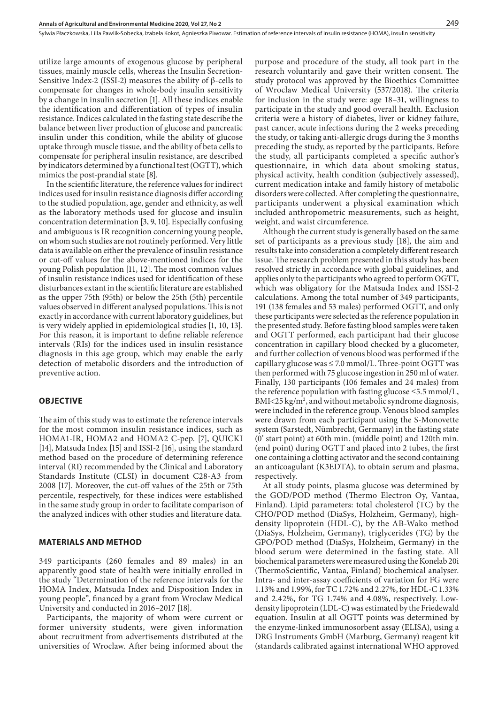utilize large amounts of exogenous glucose by peripheral tissues, mainly muscle cells, whereas the Insulin Secretion-Sensitive Index-2 (ISSI-2) measures the ability of β-cells to compensate for changes in whole-body insulin sensitivity by a change in insulin secretion [1]. All these indices enable the identification and differentiation of types of insulin resistance. Indices calculated in the fasting state describe the balance between liver production of glucose and pancreatic insulin under this condition, while the ability of glucose uptake through muscle tissue, and the ability of beta cells to compensate for peripheral insulin resistance, are described by indicators determined by a functional test (OGTT), which mimics the post-prandial state [8].

In the scientific literature, the reference values for indirect indices used for insulin resistance diagnosis differ according to the studied population, age, gender and ethnicity, as well as the laboratory methods used for glucose and insulin concentration determination [3, 9, 10]. Especially confusing and ambiguous is IR recognition concerning young people, on whom such studies are not routinely performed. Very little data is available on either the prevalence of insulin resistance or cut-off values for the above-mentioned indices for the young Polish population [11, 12]. The most common values of insulin resistance indices used for identification of these disturbances extant in the scientific literature are established as the upper 75th (95th) or below the 25th (5th) percentile values observed in different analysed populations. This is not exactly in accordance with current laboratory guidelines, but is very widely applied in epidemiological studies [1, 10, 13]. For this reason, it is important to define reliable reference intervals (RIs) for the indices used in insulin resistance diagnosis in this age group, which may enable the early detection of metabolic disorders and the introduction of preventive action.

#### **OBJECTIVE**

The aim of this study was to estimate the reference intervals for the most common insulin resistance indices, such as HOMA1-IR, HOMA2 and HOMA2 C-pep. [7], QUICKI [14], Matsuda Index [15] and ISSI-2 [16], using the standard method based on the procedure of determining reference interval (RI) recommended by the Clinical and Laboratory Standards Institute (CLSI) in document C28-A3 from 2008 [17]. Moreover, the cut-off values of the 25th or 75th percentile, respectively, for these indices were established in the same study group in order to facilitate comparison of the analyzed indices with other studies and literature data.

#### **MATERIALS AND METHOD**

349 participants (260 females and 89 males) in an apparently good state of health were initially enrolled in the study "Determination of the reference intervals for the HOMA Index, Matsuda Index and Disposition Index in young people", financed by a grant from Wroclaw Medical University and conducted in 2016–2017 [18].

Participants, the majority of whom were current or former university students, were given information about recruitment from advertisements distributed at the universities of Wroclaw. After being informed about the purpose and procedure of the study, all took part in the research voluntarily and gave their written consent. The study protocol was approved by the Bioethics Committee of Wroclaw Medical University (537/2018). The criteria for inclusion in the study were: age 18–31, willingness to participate in the study and good overall health. Exclusion criteria were a history of diabetes, liver or kidney failure, past cancer, acute infections during the 2 weeks preceding the study, or taking anti-allergic drugs during the 3 months preceding the study, as reported by the participants. Before the study, all participants completed a specific author's questionnaire, in which data about smoking status, physical activity, health condition (subjectively assessed), current medication intake and family history of metabolic disorders were collected. After completing the questionnaire, participants underwent a physical examination which included anthropometric measurements, such as height, weight, and waist circumference.

Although the current study is generally based on the same set of participants as a previous study [18], the aim and results take into consideration a completely different research issue. The research problem presented in this study has been resolved strictly in accordance with global guidelines, and applies only to the participants who agreed to perform OGTT, which was obligatory for the Matsuda Index and ISSI-2 calculations. Among the total number of 349 participants, 191 (138 females and 53 males) performed OGTT, and only these participants were selected as the reference population in the presented study. Before fasting blood samples were taken and OGTT performed, each participant had their glucose concentration in capillary blood checked by a glucometer, and further collection of venous blood was performed if the capillary glucose was  $\leq 7.0$  mmol/L. Three-point OGTT was then performed with 75 glucose ingestion in 250 ml of water. Finally, 130 participants (106 females and 24 males) from the reference population with fasting glucose  $\leq$ 5.5 mmol/L, BMI<25 kg/m<sup>2</sup>, and without metabolic syndrome diagnosis, were included in the reference group. Venous blood samples were drawn from each participant using the S-Monovette system (Sarstedt, Nümbrecht, Germany) in the fasting state (0' start point) at 60th min. (middle point) and 120th min. (end point) during OGTT and placed into 2 tubes, the first one containing a clotting activator and the second containing an anticoagulant (K3EDTA), to obtain serum and plasma, respectively.

At all study points, plasma glucose was determined by the GOD/POD method (Thermo Electron Oy, Vantaa, Finland). Lipid parameters: total cholesterol (TC) by the CHO/POD method (DiaSys, Holzheim, Germany), highdensity lipoprotein (HDL-C), by the AB-Wako method (DiaSys, Holzheim, Germany), triglycerides (TG) by the GPO/POD method (DiaSys, Holzheim, Germany) in the blood serum were determined in the fasting state. All biochemical parameters were measured using the Konelab 20i (ThermoScientific, Vantaa, Finland) biochemical analyser. Intra- and inter-assay coefficients of variation for FG were 1.13% and 1.99%, for TC 1.72% and 2.27%, for HDL-C 1.33% and 2.42%, for TG 1.74% and 4.08%, respectively. Lowdensity lipoprotein (LDL-C) was estimated by the Friedewald equation. Insulin at all OGTT points was determined by the enzyme-linked immunosorbent assay (ELISA), using a DRG Instruments GmbH (Marburg, Germany) reagent kit (standards calibrated against international WHO approved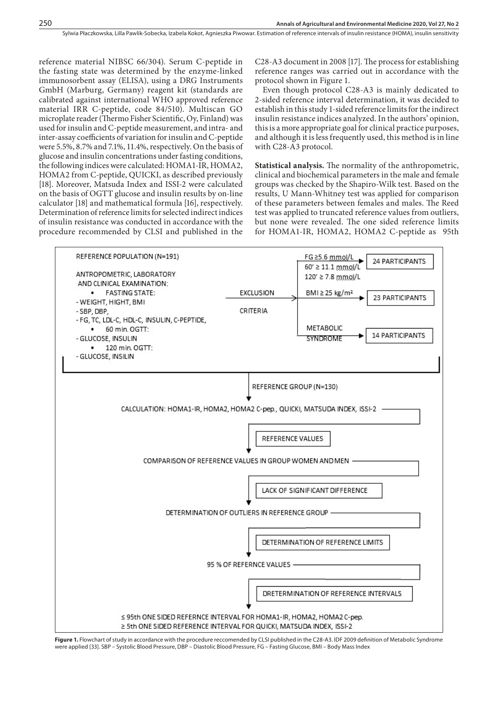reference material NIBSC 66/304). Serum C-peptide in the fasting state was determined by the enzyme-linked immunosorbent assay (ELISA), using a DRG Instruments GmbH (Marburg, Germany) reagent kit (standards are calibrated against international WHO approved reference material IRR C-peptide, code 84/510). Multiscan GO microplate reader (Thermo Fisher Scientific, Oy, Finland) was used for insulin and C-peptide measurement, and intra- and inter-assay coefficients of variation for insulin and C-peptide were 5.5%, 8.7% and 7.1%, 11.4%, respectively. On the basis of glucose and insulin concentrations under fasting conditions, the following indices were calculated: HOMA1-IR, HOMA2, HOMA2 from C-peptide, QUICKI, as described previously [18]. Moreover, Matsuda Index and ISSI-2 were calculated on the basis of OGTT glucose and insulin results by on-line calculator [18] and mathematical formula [16], respectively. Determination of reference limits for selected indirect indices of insulin resistance was conducted in accordance with the procedure recommended by CLSI and published in the

C28-A3 document in 2008 [17]. The process for establishing reference ranges was carried out in accordance with the protocol shown in Figure 1.

Even though protocol C28-A3 is mainly dedicated to 2-sided reference interval determination, it was decided to establish in this study 1-sided reference limits for the indirect insulin resistance indices analyzed. In the authors' opinion, this is a more appropriate goal for clinical practice purposes, and although it is less frequently used, this method is in line with C28-A3 protocol.

**Statistical analysis.** The normality of the anthropometric, clinical and biochemical parameters in the male and female groups was checked by the Shapiro-Wilk test. Based on the results, U Mann-Whitney test was applied for comparison of these parameters between females and males. The Reed test was applied to truncated reference values from outliers, but none were revealed. The one sided reference limits for HOMA1-IR, HOMA2, HOMA2 C-peptide as 95th



**Figure 1.** Flowchart of study in accordance with the procedure reccomended by CLSI published in the C28-A3. IDF 2009 definition of Metabolic Syndrome were applied [33]. SBP – Systolic Blood Pressure, DBP – Diastolic Blood Pressure, FG – Fasting Glucose, BMI – Body Mass Index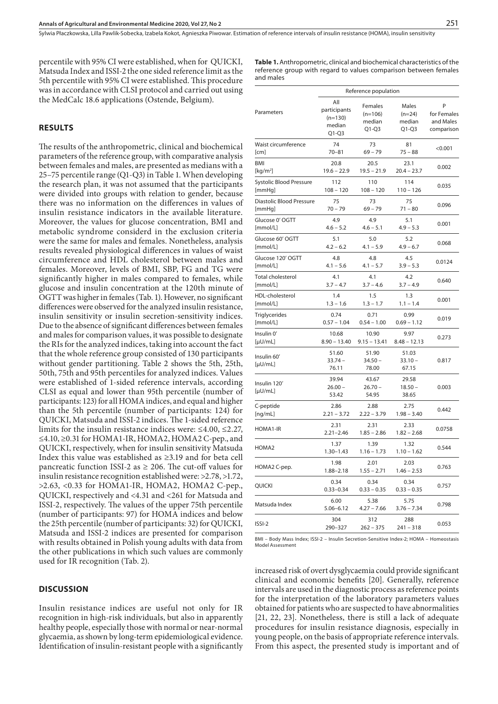percentile with 95% CI were established, when for QUICKI, Matsuda Index and ISSI-2 the one sided reference limit as the 5th percentile with 95% CI were established. This procedure was in accordance with CLSI protocol and carried out using the MedCalc 18.6 applications (Ostende, Belgium).

### **RESULTS**

The results of the anthropometric, clinical and biochemical parameters of the reference group, with comparative analysis between females and males, are presented as medians with a 25–75 percentile range (Q1-Q3) in Table 1. When developing the research plan, it was not assumed that the participants were divided into groups with relation to gender, because there was no information on the differences in values of insulin resistance indicators in the available literature. Moreover, the values for glucose concentration, BMI and metabolic syndrome considerd in the exclusion criteria were the same for males and females. Nonetheless, analysis results revealed physiological differences in values of waist circumference and HDL cholesterol between males and females. Moreover, levels of BMI, SBP, FG and TG were significantly higher in males compared to females, while glucose and insulin concentration at the 120th minute of OGTT was higher in females (Tab. 1). However, no significant differences were observed for the analyzed insulin resistance, insulin sensitivity or insulin secretion-sensitivity indices. Due to the absence of significant differences between females and males for comparison values, it was possible to designate the RIs for the analyzed indices, taking into account the fact that the whole reference group consisted of 130 participants without gender partitioning. Table 2 shows the 5th, 25th, 50th, 75th and 95th percentiles for analyzed indices. Values were established of 1-sided reference intervals, according CLSI as equal and lower than 95th percentile (number of participants: 123) for all HOMA indices, and equal and higher than the 5th percentile (number of participants: 124) for QUICKI, Matsuda and ISSI-2 indices. The 1-sided reference limits for the insulin resistance indices were: ≤4.00, ≤2.27, ≤4.10, ≥0.31 for HOMA1-IR, HOMA2, HOMA2 C-pep., and QUICKI, respectively, when for insulin sensitivity Matsuda Index this value was established as ≥3.19 and for beta cell pancreatic function ISSI-2 as  $\geq$  206. The cut-off values for insulin resistance recognition established were: >2.78, >1.72, >2.63, <0.33 for HOMA1-IR, HOMA2, HOMA2 C-pep., QUICKI, respectively and <4.31 and <261 for Matsuda and ISSI-2, respectively. The values of the upper 75th percentile (number of participants: 97) for HOMA indices and below the 25th percentile (number of participants: 32) for QUICKI, Matsuda and ISSI-2 indices are presented for comparison with results obtained in Polish young adults with data from the other publications in which such values are commonly used for IR recognition (Tab. 2).

#### **DISCUSSION**

Insulin resistance indices are useful not only for IR recognition in high-risk individuals, but also in apparently healthy people, especially those with normal or near-normal glycaemia, as shown by long-term epidemiological evidence. Identification of insulin-resistant people with a significantly **Table 1.** Anthropometric, clinical and biochemical characteristics of the reference group with regard to values comparison between females and males

|                              | Reference population                                  |                                           |                                        |                                             |
|------------------------------|-------------------------------------------------------|-------------------------------------------|----------------------------------------|---------------------------------------------|
| Parameters                   | All<br>participants<br>$(n=130)$<br>median<br>$Q1-Q3$ | Females<br>$(n=106)$<br>median<br>$Q1-Q3$ | Males<br>$(n=24)$<br>median<br>$Q1-Q3$ | P<br>for Females<br>and Males<br>comparison |
| Waist circumference          | 74                                                    | 73                                        | 81                                     | < 0.001                                     |
| [cm]                         | $70 - 81$                                             | $69 - 79$                                 | $75 - 88$                              |                                             |
| BMI                          | 20.8                                                  | 20.5                                      | 23.1                                   | 0.002                                       |
| [ $kg/m2$ ]                  | $19.6 - 22.9$                                         | $19.5 - 21.9$                             | $20.4 - 23.7$                          |                                             |
| Systolic Blood Pressure      | 112                                                   | 110                                       | 114                                    | 0.035                                       |
| [mmHq]                       | $108 - 120$                                           | $108 - 120$                               | $110 - 126$                            |                                             |
| Diastolic Blood Pressure     | 75                                                    | 73                                        | 75                                     | 0.096                                       |
| [mmHq]                       | $70 - 79$                                             | 69 – 79                                   | 71 – 80                                |                                             |
| Glucose 0' OGTT              | 4.9                                                   | 4.9                                       | 5.1                                    | 0.001                                       |
| [mmol/L]                     | $4.6 - 5.2$                                           | $4.6 - 5.1$                               | $4.9 - 5.3$                            |                                             |
| Glucose 60' OGTT             | 5.1                                                   | 5.0                                       | 5.2                                    | 0.068                                       |
| [mmol/L]                     | $4.2 - 6.2$                                           | $4.1 - 5.9$                               | $4.9 - 6.7$                            |                                             |
| Glucose 120' OGTT            | 4.8                                                   | 4.8                                       | 4.5                                    | 0.0124                                      |
| [mmol/L]                     | $4.1 - 5.6$                                           | $4.1 - 5.7$                               | $3.9 - 5.3$                            |                                             |
| Total cholesterol            | 4.1                                                   | 4.1                                       | 4.2                                    | 0.640                                       |
| [mmol/L]                     | $3.7 - 4.7$                                           | $3.7 - 4.6$                               | $3.7 - 4.9$                            |                                             |
| HDL-cholesterol              | 1.4                                                   | 1.5                                       | 1.3                                    | 0.001                                       |
| [mmol/L]                     | $1.3 - 1.6$                                           | $1.3 - 1.7$                               | $1.1 - 1.4$                            |                                             |
| <b>Triglycerides</b>         | 0.74                                                  | 0.71                                      | 0.99                                   | 0.019                                       |
| [mmol/L]                     | $0.57 - 1.04$                                         | $0.54 - 1.00$                             | $0.69 - 1.12$                          |                                             |
| Insulin 0'                   | 10.68                                                 | 10.90                                     | 9.97                                   | 0.273                                       |
| [µU/ml]                      | $8.90 - 13.40$                                        | $9.15 - 13.41$                            | $8.48 - 12.13$                         |                                             |
| Insulin 60'<br>[µU/ml]       | 51.60<br>$33.74 -$<br>76.11                           | 51.90<br>$34.50 -$<br>78.00               | 51.03<br>$33.10 -$<br>67.15            | 0.817                                       |
| Insulin 120'<br>$[\mu$ U/mL] | 39.94<br>$26.00 -$<br>53.42                           | 43.67<br>$26.70 -$<br>54.95               | 29.58<br>$18.50 -$<br>38.65            | 0.003                                       |
| C-peptide                    | 2.86                                                  | 2.88                                      | 2.75                                   | 0.442                                       |
| [ng/mL]                      | $2.21 - 3.72$                                         | $2.22 - 3.79$                             | $1.98 - 3.40$                          |                                             |
| HOMA1-IR                     | 2.31<br>$2.21 - 2.46$                                 | 2.31<br>$1.85 - 2.86$                     | 2.33<br>$1.82 - 2.68$                  | 0.0758                                      |
| HOMA2                        | 1.37<br>$1.30 - 1.43$                                 | 1.39<br>$1.16 - 1.73$                     | 1.32<br>$1.10 - 1.62$                  | 0.544                                       |
| HOMA2 C-pep.                 | 1.98<br>1.88-2.18                                     | 2.01<br>$1.55 - 2.71$                     | 2.03<br>$1.46 - 2.53$                  | 0.763                                       |
| QUICKI                       | 0.34<br>$0.33 - 0.34$                                 | 0.34<br>$0.33 - 0.35$                     | 0.34<br>$0.33 - 0.35$                  | 0.757                                       |
| Matsuda Index                | 6.00<br>$5.06 - 6.12$                                 | 5.38<br>$4.27 - 7.66$                     | 5.75<br>$3.76 - 7.34$                  | 0.798                                       |
| ISSI-2                       | 304<br>290-327                                        | 312<br>$262 - 375$                        | 288<br>$241 - 318$                     | 0.053                                       |

BMI – Body Mass Index; ISSI-2 – Insulin Secretion-Sensitive Index-2; HOMA – Homeostasis Model Assessment

increased risk of overt dysglycaemia could provide significant clinical and economic benefits [20]. Generally, reference intervals are used in the diagnostic process as reference points for the interpretation of the laboratory parameters values obtained for patients who are suspected to have abnormalities [21, 22, 23]. Nonetheless, there is still a lack of adequate procedures for insulin resistance diagnosis, especially in young people, on the basis of appropriate reference intervals. From this aspect, the presented study is important and of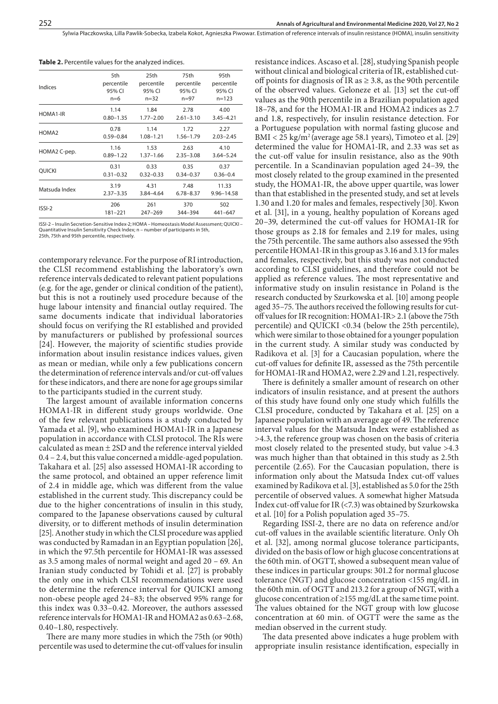Sylwia Płaczkowska, Lilla Pawlik-Sobecka, Izabela Kokot, Agnieszka Piwowar . Estimation of reference intervals of insulin resistance (HOMA), insulin sensitivity

| Indices           | 5th           | 25th          | 75th          | 95th          |
|-------------------|---------------|---------------|---------------|---------------|
|                   | percentile    | percentile    | percentile    | percentile    |
|                   | 95% CI        | 95% CI        | 95% CI        | 95% CI        |
|                   | $n=6$         | $n = 32$      | $n = 97$      | $n = 123$     |
| HOMA1-IR          | 1.14          | 1.84          | 2.78          | 4.00          |
|                   | $0.80 - 1.35$ | $1.77 - 2.00$ | $2.61 - 3.10$ | $3.45 - 4.21$ |
| HOMA <sub>2</sub> | 0.78          | 1.14          | 1.72          | 2.27          |
|                   | $0.59 - 0.84$ | $1.08 - 1.21$ | $1.56 - 1.79$ | $2.03 - 2.45$ |
| HOMA2 C-pep.      | 1.16          | 1.53          | 2.63          | 4.10          |
|                   | $0.89 - 1.22$ | $1.37 - 1.66$ | $2.35 - 3.08$ | $3.64 - 5.24$ |
| <b>OUICKI</b>     | 0.31          | 0.33          | 0.35          | 0.37          |
|                   | $0.31 - 0.32$ | $0.32 - 0.33$ | $0.34 - 0.37$ | $0.36 - 0.4$  |
| Matsuda Index     | 3.19          | 4.31          | 7.48          | 11.33         |
|                   | $2.37 - 3.35$ | $3.84 - 4.64$ | $6.78 - 8.37$ | 9.96-14.58    |
| $ISSI-2$          | 206           | 261           | 370           | 502           |
|                   | 181-221       | $247 - 269$   | 344-394       | 441-647       |
|                   |               |               |               |               |

**Table 2.** Percentile values for the analyzed indices.

ISSI-2 – Insulin Secretion-Sensitive Index-2; HOMA – Homeostasis Model Assessment; QUICKI – Quantitative Insulin Sensitivity Check Index; n – number of participants in 5th, 25th, 75th and 95th percentile, respectively.

contemporary relevance. For the purpose of RI introduction, the CLSI recommend establishing the laboratory's own reference intervals dedicated to relevant patient populations (e.g. for the age, gender or clinical condition of the patient), but this is not a routinely used procedure because of the huge labour intensity and financial outlay required. The same documents indicate that individual laboratories should focus on verifying the RI established and provided by manufacturers or published by professional sources [24]. However, the majority of scientific studies provide information about insulin resistance indices values, given as mean or median, while only a few publications concern the determination of reference intervals and/or cut-off values for these indicators, and there are none for age groups similar to the participants studied in the current study.

The largest amount of available information concerns HOMA1-IR in different study groups worldwide. One of the few relevant publications is a study conducted by Yamada et al. [9], who examined HOMA1-IR in a Japanese population in accordance with CLSI protocol. The RIs were calculated as mean ± 2SD and the reference interval yielded 0.4 – 2.4, but this value concerned a middle-aged population. Takahara et al. [25] also assessed HOMA1-IR according to the same protocol, and obtained an upper reference limit of 2.4 in middle age, which was different from the value established in the current study. This discrepancy could be due to the higher concentrations of insulin in this study, compared to the Japanese observations caused by cultural diversity, or to different methods of insulin determination [25]. Another study in which the CLSI procedure was applied was conducted by Ramadan in an Egyptian population [26], in which the 97.5th percentile for HOMA1-IR was assessed as 3.5 among males of normal weight and aged 20 – 69. An Iranian study conducted by Tohidi et al. [27] is probably the only one in which CLSI recommendations were used to determine the reference interval for QUICKI among non-obese people aged 24–83; the observed 95% range for this index was 0.33–0.42. Moreover, the authors assessed reference intervals for HOMA1-IR and HOMA2 as 0.63–2.68, 0.40–1.80, respectively.

There are many more studies in which the 75th (or 90th) percentile was used to determine the cut-off values for insulin resistance indices. Ascaso et al. [28], studying Spanish people without clinical and biological criteria of IR, established cutoff points for diagnosis of IR as  $\geq$  3.8, as the 90th percentile of the observed values. Geloneze et al. [13] set the cut-off values as the 90th percentile in a Brazilian population aged 18–78, and for the HOMA1-IR and HOMA2 indices as 2.7 and 1.8, respectively, for insulin resistance detection. For a Portuguese population with normal fasting glucose and BMI < 25 kg/m<sup>2</sup> (average age 58.1 years), Timoteo et al. [29] determined the value for HOMA1-IR, and 2.33 was set as the cut-off value for insulin resistance, also as the 90th percentile. In a Scandinavian population aged 24–39, the most closely related to the group examined in the presented study, the HOMA1-IR, the above upper quartile, was lower than that established in the presented study, and set at levels 1.30 and 1.20 for males and females, respectively [30]. Kwon et al. [31], in a young, healthy population of Koreans aged 20–39, determined the cut-off values for HOMA1-IR for those groups as 2.18 for females and 2.19 for males, using the 75th percentile. The same authors also assessed the 95th percentile HOMA1-IR in this group as 3.16 and 3.13 for males and females, respectively, but this study was not conducted according to CLSI guidelines, and therefore could not be applied as reference values. The most representative and informative study on insulin resistance in Poland is the research conducted by Szurkowska et al. [10] among people aged 35–75. The authors received the following results for cutoff values for IR recognition: HOMA1-IR> 2.1 (above the 75th percentile) and QUICKI <0.34 (below the 25th percentile), which were similar to those obtained for a younger population in the current study. A similar study was conducted by Radikova et al. [3] for a Caucasian population, where the cut-off values for definite IR, assessed as the 75th percentile for HOMA1-IR and HOMA2, were 2.29 and 1.21, respectively.

There is definitely a smaller amount of research on other indicators of insulin resistance, and at present the authors of this study have found only one study which fulfills the CLSI procedure, conducted by Takahara et al. [25] on a Japanese population with an average age of 49. The reference interval values for the Matsuda Index were established as >4.3, the reference group was chosen on the basis of criteria most closely related to the presented study, but value >4.3 was much higher than that obtained in this study as 2.5th percentile (2.65). For the Caucasian population, there is information only about the Matsuda Index cut-off values examined by Radikova et al. [3], established as 5.0 for the 25th percentile of observed values. A somewhat higher Matsuda Index cut-off value for IR (<7.3) was obtained by Szurkowska et al. [10] for a Polish population aged 35–75.

Regarding ISSI-2, there are no data on reference and/or cut-off values in the available scientific literature. Only Oh et al. [32], among normal glucose tolerance participants, divided on the basis of low or high glucose concentrations at the 60th min. of OGTT, showed a subsequent mean value of these indices in particular groups: 301.2 for normal glucose tolerance (NGT) and glucose concentration <155 mg/dL in the 60th min. of OGTT and 213.2 for a group of NGT, with a glucose concentration of ≥155 mg/dL at the same time point. The values obtained for the NGT group with low glucose concentration at 60 min. of OGTT were the same as the median observed in the current study.

The data presented above indicates a huge problem with appropriate insulin resistance identification, especially in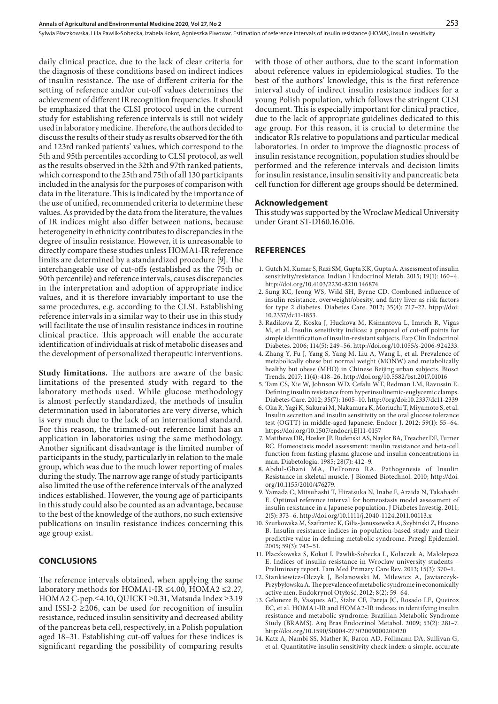daily clinical practice, due to the lack of clear criteria for the diagnosis of these conditions based on indirect indices of insulin resistance. The use of different criteria for the setting of reference and/or cut-off values determines the achievement of different IR recognition frequencies. It should be emphasized that the CLSI protocol used in the current study for establishing reference intervals is still not widely used in laboratory medicine. Therefore, the authors decided to discuss the results of their study as results observed for the 6th and 123rd ranked patients' values, which correspond to the 5th and 95th percentiles according to CLSI protocol, as well as the results observed in the 32th and 97th ranked patients, which correspond to the 25th and 75th of all 130 participants included in the analysis for the purposes of comparison with data in the literature. This is indicated by the importance of the use of unified, recommended criteria to determine these values. As provided by the data from the literature, the values of IR indices might also differ between nations, because heterogeneity in ethnicity contributes to discrepancies in the degree of insulin resistance. However, it is unreasonable to directly compare these studies unless HOMA1-IR reference limits are determined by a standardized procedure [9]. The interchangeable use of cut-offs (established as the 75th or 90th percentile) and reference intervals, causes discrepancies in the interpretation and adoption of appropriate indice values, and it is therefore invariably important to use the same procedures, e.g. according to the CLSI. Establishing reference intervals in a similar way to their use in this study will facilitate the use of insulin resistance indices in routine clinical practice. This approach will enable the accurate identification of individuals at risk of metabolic diseases and the development of personalized therapeutic interventions.

**Study limitations.** The authors are aware of the basic limitations of the presented study with regard to the laboratory methods used. While glucose methodology is almost perfectly standardized, the methods of insulin determination used in laboratories are very diverse, which is very much due to the lack of an international standard. For this reason, the trimmed-out reference limit has an application in laboratories using the same methodology. Another significant disadvantage is the limited number of participants in the study, particularly in relation to the male group, which was due to the much lower reporting of males during the study. The narrow age range of study participants also limited the use of the reference intervals of the analyzed indices established. However, the young age of participants in this study could also be counted as an advantage, because to the best of the knowledge of the authors, no such extensive publications on insulin resistance indices concerning this age group exist.

### **CONCLUSIONS**

The reference intervals obtained, when applying the same laboratory methods for HOMA1-IR ≤4.00, HOMA2 ≤2.27, HOMA2 C-pep.≤4.10, QUICKI ≥0.31, Matsuda Index ≥3.19 and ISSI-2  $\geq$ 206, can be used for recognition of insulin resistance, reduced insulin sensitivity and decreased ability of the pancreas beta cell, respectively, in a Polish population aged 18–31. Establishing cut-off values for these indices is significant regarding the possibility of comparing results with those of other authors, due to the scant information about reference values in epidemiological studies. To the best of the authors' knowledge, this is the first reference interval study of indirect insulin resistance indices for a young Polish population, which follows the stringent CLSI document. This is especially important for clinical practice, due to the lack of appropriate guidelines dedicated to this age group. For this reason, it is crucial to determine the indicator RIs relative to populations and particular medical laboratories. In order to improve the diagnostic process of insulin resistance recognition, population studies should be performed and the reference intervals and decision limits for insulin resistance, insulin sensitivity and pancreatic beta cell function for different age groups should be determined.

#### **Acknowledgement**

This study was supported by the Wroclaw Medical University under Grant ST-D160.16.016.

#### **REFERENCES**

- 1. Gutch M, Kumar S, Razi SM, Gupta KK, Gupta A. Assessment of insulin sensitivity/resistance. Indian J Endocrinol Metab. 2015; 19(1): 160–4. http://doi.org/10.4103/2230-8210.146874
- 2. Sung KC, Jeong WS, Wild SH, Byrne CD. Combined influence of insulin resistance, overweight/obesity, and fatty liver as risk factors for type 2 diabetes. Diabetes Care. 2012; 35(4): 717–22. htpp://doi: 10.2337/dc11-1853.
- 3. Radikova Z, Koska J, Huckova M, Ksinantova L, Imrich R, Vigas M, et al. Insulin sensitivity indices: a proposal of cut-off points for simple identification of insulin-resistant subjects. Exp Clin Endocrinol Diabetes. 2006; 114(5): 249–56. http://doi.org/10.1055/s-2006-924233.
- 4. Zhang Y, Fu J, Yang S, Yang M, Liu A, Wang L, et al. Prevalence of metabolically obese but normal weight (MONW) and metabolically healthy but obese (MHO) in Chinese Beijing urban subjects. Biosci Trends. 2017; 11(4): 418–26. http://doi.org/10.5582/bst.2017.01016
- 5. Tam CS, Xie W, Johnson WD, Cefalu WT, Redman LM, Ravussin E. Defining insulin resistance from hyperinsulinemic-euglycemic clamps. Diabetes Care. 2012; 35(7): 1605–10. http://org/doi:10.2337/dc11-2339
- 6. Oka R, Yagi K, Sakurai M, Nakamura K, Moriuchi T, Miyamoto S, et al. Insulin secretion and insulin sensitivity on the oral glucose tolerance test (OGTT) in middle-aged Japanese. Endocr J. 2012; 59(1): 55–64. https://doi.org/10.1507/endocrj.EJ11-0157
- 7. Matthews DR, Hosker JP, Rudenski AS, Naylor BA, Treacher DF, Turner RC. Homeostasis model assessment: insulin resistance and beta-cell function from fasting plasma glucose and insulin concentrations in man. Diabetologia. 1985; 28(7): 412–9.
- 8. Abdul-Ghani MA, DeFronzo RA. Pathogenesis of Insulin Resistance in skeletal muscle. J Biomed Biotechnol. 2010; http://doi. org/10.1155/2010/476279.
- 9. Yamada C, Mitsuhashi T, Hiratsuka N, Inabe F, Araida N, Takahashi E. Optimal reference interval for homeostasis model assessment of insulin resistance in a Japanese population. J Diabetes Investig. 2011; 2(5): 373–6. http://doi.org/10.1111/j.2040-1124.2011.00113.x
- 10. Szurkowska M, Szafraniec K, Gilis-Januszewska A, Szybinski Z, Huszno B. Insulin resistance indices in population-based study and their predictive value in defining metabolic syndrome. Przegl Epidemiol. 2005; 59(3): 743–51.
- 11. Płaczkowska S, Kokot I, Pawlik-Sobecka L, Kołaczek A, Małolepsza E. Indices of insulin resistance in Wroclaw university students – Preliminary report. Fam Med Primary Care Rev. 2013; 15(3): 370–1.
- 12. Stankiewicz-Olczyk J, Bolanowski M, Milewicz A, Jawiarczyk-Przybyłowska A. The prevalence of metabolic syndrome in economically active men. Endokrynol Otyłość. 2012; 8(2): 59–64.
- 13. Geloneze B, Vasques AC, Stabe CF, Pareja JC, Rosado LE, Queiroz EC, et al. HOMA1-IR and HOMA2-IR indexes in identifying insulin resistance and metabolic syndrome: Brazilian Metabolic Syndrome Study (BRAMS). Arq Bras Endocrinol Metabol. 2009; 53(2): 281–7. http://doi.org/10.1590/S0004-27302009000200020
- 14. Katz A, Nambi SS, Mather K, Baron AD, Follmann DA, Sullivan G, et al. Quantitative insulin sensitivity check index: a simple, accurate